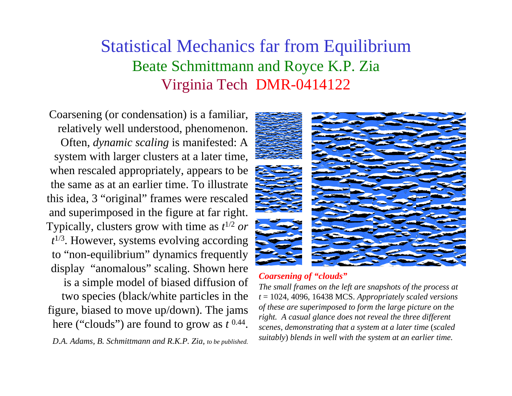## Statistical Mechanics far from Equilibrium Beate Schmittmann and Royce K.P. Zia Virginia Tech DMR-0414122

Coarsening (or condensation) is a familiar, relatively well understood, phenomenon. Often, *dynamic scaling* is manifested: A system with larger clusters at a later time, when rescaled appropriately, appears to be the same as at an earlier time. To illustrate this idea, 3 "original" frames were rescaled and superimposed in the figure at far right. Typically, clusters grow with time as *t*1/2 *or <sup>t</sup>*1/3. However, systems evolving according to "non-equilibrium" dynamics frequently display "anomalous" scaling. Shown here is a simple model of biased diffusion of two species (black/white particles in the figure, biased to move up/down). The jams here ("clouds") are found to grow as *t* 0.44.

*D.A. Adams, B. Schmittmann and R.K.P. Zia, to be published.*



## *Coarsening of "clouds"*

*The small frames on the left are snapshots of the process at <sup>t</sup>*= 1024, 4096, 16438 MCS. *Appropriately scaled versions of these are superimposed to form the large picture on the right. A casual glance does not reveal the three different scenes, demonstrating that a system at a later time* (*scaled suitably*) *blends in well with the system at an earlier time.*